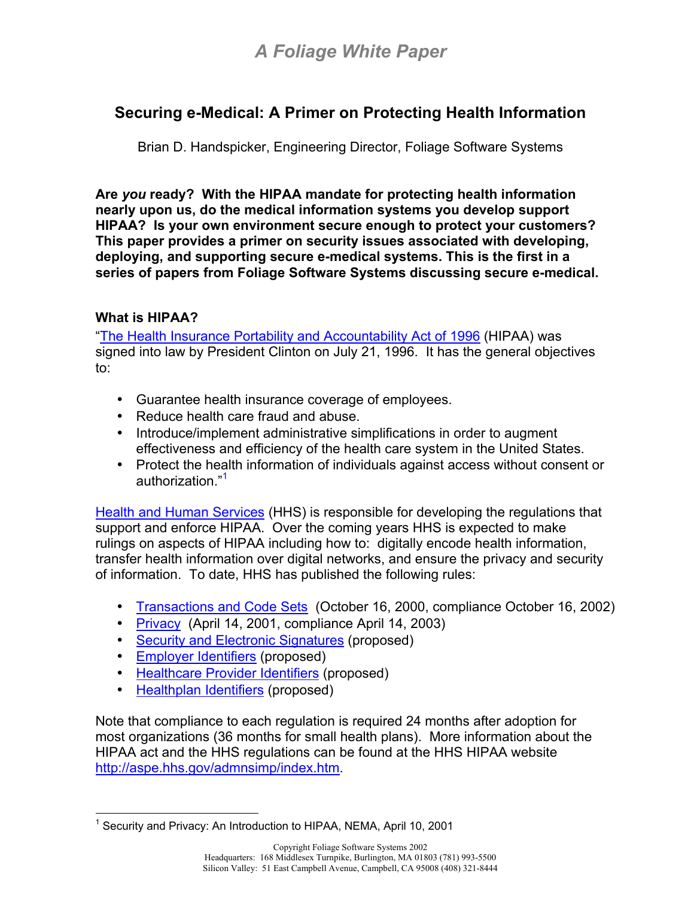# *A Foliage White Paper*

## **Securing e-Medical: A Primer on Protecting Health Information**

Brian D. Handspicker, Engineering Director, Foliage Software Systems

**Are** *you* **ready? With the HIPAA mandate for protecting health information nearly upon us, do the medical information systems you develop support HIPAA? Is your own environment secure enough to protect your customers? This paper provides a primer on security issues associated with developing, deploying, and supporting secure e-medical systems. This is the first in a series of papers from Foliage Software Systems discussing secure e-medical.** 

### **What is HIPAA?**

["The Health Insurance Portability and Accountability Act of 1996](http://aspe.hhs.gov/admnsimp/pl104191.htm) (HIPAA) was signed into law by President Clinton on July 21, 1996. It has the general objectives to:

- Guarantee health insurance coverage of employees.
- Reduce health care fraud and abuse.
- Introduce/implement administrative simplifications in order to augment effectiveness and efficiency of the health care system in the United States.
- Protect the health information of individuals against access without consent or authorization."<sup>[1](#page-0-0)</sup>

[Health and Human Services](http://aspe.hhs.gov/admnsimp/index.htm) (HHS) is responsible for developing the regulations that support and enforce HIPAA. Over the coming years HHS is expected to make rulings on aspects of HIPAA including how to: digitally encode health information, transfer health information over digital networks, and ensure the privacy and security of information. To date, HHS has published the following rules:

- [Transactions and Code Sets](http://aspe.hhs.gov/admnsimp/bannertx.htm) (October 16, 2000, compliance October 16, 2002)
- [Privacy](http://aspe.hhs.gov/admnsimp/bannerps.htm) (April 14, 2001, compliance April 14, 2003)
- [Security and Electronic Signatures](http://aspe.hhs.gov/admnsimp/bannerps.htm#security) (proposed)
- [Employer Identifiers](http://aspe.hhs.gov/admnsimp/bannerid.htm) (proposed)
- [Healthcare Provider Identifiers](http://aspe.hhs.gov/admnsimp/bannerid.htm) (proposed)
- [Healthplan Identifiers](http://aspe.hhs.gov/admnsimp/bannerid.htm) (proposed)

Note that compliance to each regulation is required 24 months after adoption for most organizations (36 months for small health plans). More information about the HIPAA act and the HHS regulations can be found at the HHS HIPAA website [http://aspe.hhs.gov/admnsimp/index.htm.](http://aspe.hhs.gov/admnsimp/index.htm)

<span id="page-0-0"></span><sup>1</sup> <sup>1</sup> Security and Privacy: An Introduction to HIPAA, NEMA, April 10, 2001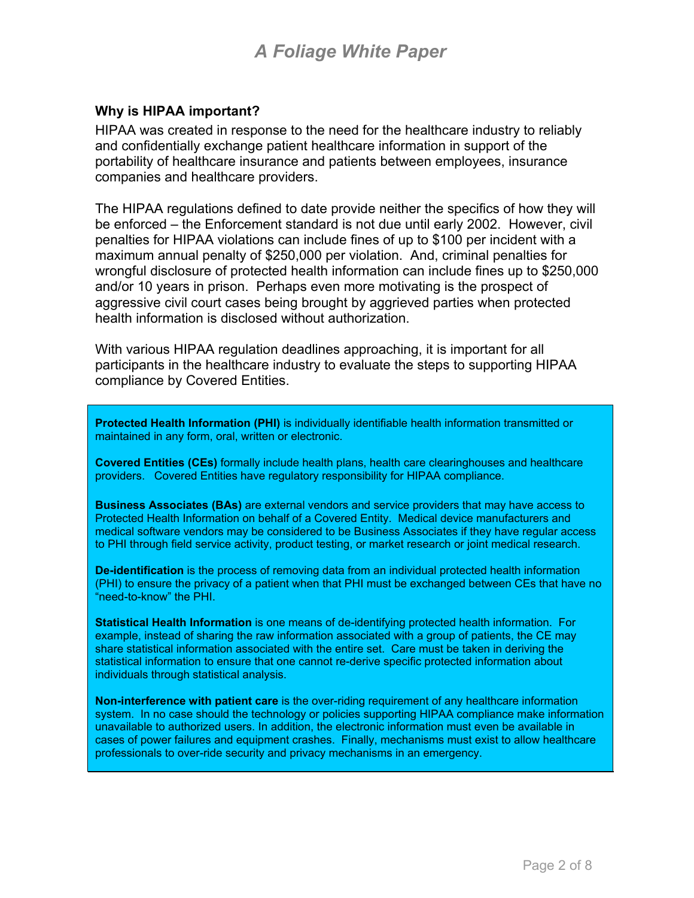# *A Foliage White Paper*

#### **Why is HIPAA important?**

HIPAA was created in response to the need for the healthcare industry to reliably and confidentially exchange patient healthcare information in support of the portability of healthcare insurance and patients between employees, insurance companies and healthcare providers.

The HIPAA regulations defined to date provide neither the specifics of how they will be enforced – the Enforcement standard is not due until early 2002. However, civil penalties for HIPAA violations can include fines of up to \$100 per incident with a maximum annual penalty of \$250,000 per violation. And, criminal penalties for wrongful disclosure of protected health information can include fines up to \$250,000 and/or 10 years in prison. Perhaps even more motivating is the prospect of aggressive civil court cases being brought by aggrieved parties when protected health information is disclosed without authorization.

With various HIPAA regulation deadlines approaching, it is important for all participants in the healthcare industry to evaluate the steps to supporting HIPAA compliance by Covered Entities.

**Protected Health Information (PHI)** is individually identifiable health information transmitted or maintained in any form, oral, written or electronic.

**Covered Entities (CEs)** formally include health plans, health care clearinghouses and healthcare providers. Covered Entities have regulatory responsibility for HIPAA compliance.

**Business Associates (BAs)** are external vendors and service providers that may have access to Protected Health Information on behalf of a Covered Entity.Medical device manufacturers and medical software vendors may be considered to be Business Associates if they have regular access to PHI through field service activity, product testing, or market research or joint medical research.

**De-identification** is the process of removing data from an individual protected health information (PHI) to ensure the privacy of a patient when that PHI must be exchanged between CEs that have no "need-to-know" the PHI.

**Statistical Health Information** is one means of de-identifying protected health information. For example, instead of sharing the raw information associated with a group of patients, the CE may share statistical information associated with the entire set. Care must be taken in deriving the statistical information to ensure that one cannot re-derive specific protected information about individuals through statistical analysis.

**Non-interference with patient care** is the over-riding requirement of any healthcare information system. In no case should the technology or policies supporting HIPAA compliance make information unavailable to authorized users. In addition, the electronic information must even be available in cases of power failures and equipment crashes. Finally, mechanisms must exist to allow healthcare professionals to over-ride security and privacy mechanisms in an emergency.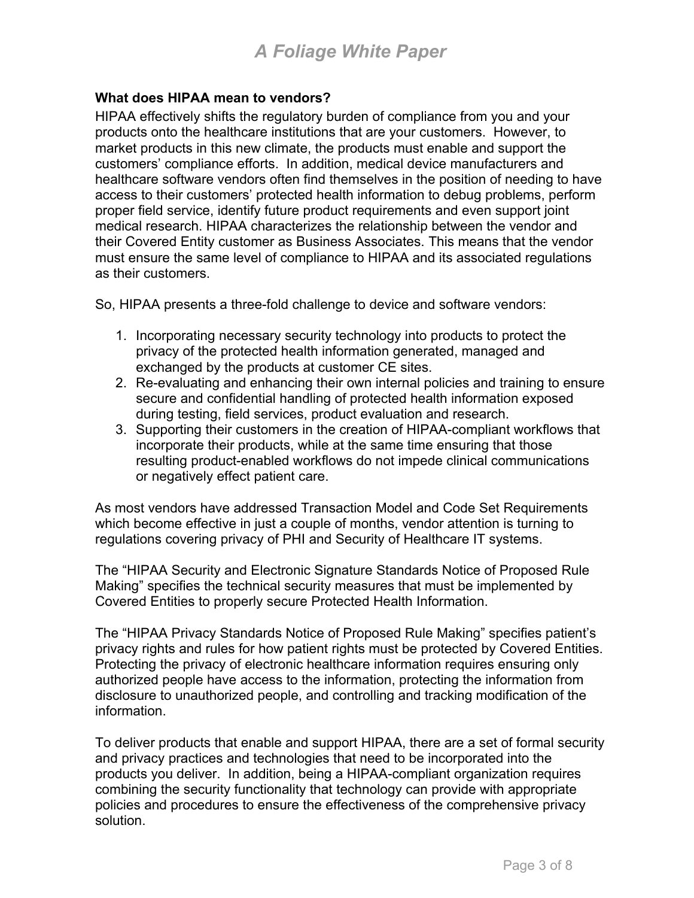### **What does HIPAA mean to vendors?**

HIPAA effectively shifts the regulatory burden of compliance from you and your products onto the healthcare institutions that are your customers. However, to market products in this new climate, the products must enable and support the customers' compliance efforts. In addition, medical device manufacturers and healthcare software vendors often find themselves in the position of needing to have access to their customers' protected health information to debug problems, perform proper field service, identify future product requirements and even support joint medical research. HIPAA characterizes the relationship between the vendor and their Covered Entity customer as Business Associates. This means that the vendor must ensure the same level of compliance to HIPAA and its associated regulations as their customers.

So, HIPAA presents a three-fold challenge to device and software vendors:

- 1. Incorporating necessary security technology into products to protect the privacy of the protected health information generated, managed and exchanged by the products at customer CE sites.
- 2. Re-evaluating and enhancing their own internal policies and training to ensure secure and confidential handling of protected health information exposed during testing, field services, product evaluation and research.
- 3. Supporting their customers in the creation of HIPAA-compliant workflows that incorporate their products, while at the same time ensuring that those resulting product-enabled workflows do not impede clinical communications or negatively effect patient care.

As most vendors have addressed Transaction Model and Code Set Requirements which become effective in just a couple of months, vendor attention is turning to regulations covering privacy of PHI and Security of Healthcare IT systems.

The "HIPAA Security and Electronic Signature Standards Notice of Proposed Rule Making" specifies the technical security measures that must be implemented by Covered Entities to properly secure Protected Health Information.

The "HIPAA Privacy Standards Notice of Proposed Rule Making" specifies patient's privacy rights and rules for how patient rights must be protected by Covered Entities. Protecting the privacy of electronic healthcare information requires ensuring only authorized people have access to the information, protecting the information from disclosure to unauthorized people, and controlling and tracking modification of the information.

To deliver products that enable and support HIPAA, there are a set of formal security and privacy practices and technologies that need to be incorporated into the products you deliver. In addition, being a HIPAA-compliant organization requires combining the security functionality that technology can provide with appropriate policies and procedures to ensure the effectiveness of the comprehensive privacy solution.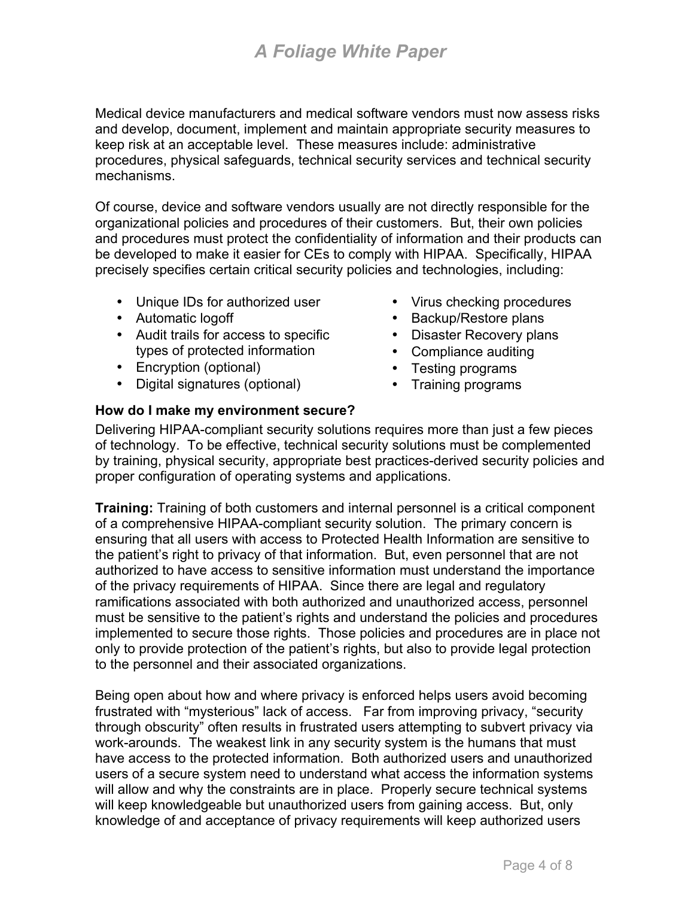Medical device manufacturers and medical software vendors must now assess risks and develop, document, implement and maintain appropriate security measures to keep risk at an acceptable level. These measures include: administrative procedures, physical safeguards, technical security services and technical security mechanisms.

Of course, device and software vendors usually are not directly responsible for the organizational policies and procedures of their customers. But, their own policies and procedures must protect the confidentiality of information and their products can be developed to make it easier for CEs to comply with HIPAA. Specifically, HIPAA precisely specifies certain critical security policies and technologies, including:

- Unique IDs for authorized user
- Automatic logoff
- Audit trails for access to specific types of protected information
- Encryption (optional)
- Digital signatures (optional)
- Virus checking procedures
- Backup/Restore plans
- Disaster Recovery plans
- Compliance auditing
- Testing programs
- Training programs

**How do I make my environment secure?**  Delivering HIPAA-compliant security solutions requires more than just a few pieces of technology. To be effective, technical security solutions must be complemented by training, physical security, appropriate best practices-derived security policies and

proper configuration of operating systems and applications.

**Training:** Training of both customers and internal personnel is a critical component of a comprehensive HIPAA-compliant security solution. The primary concern is ensuring that all users with access to Protected Health Information are sensitive to the patient's right to privacy of that information. But, even personnel that are not authorized to have access to sensitive information must understand the importance of the privacy requirements of HIPAA. Since there are legal and regulatory ramifications associated with both authorized and unauthorized access, personnel must be sensitive to the patient's rights and understand the policies and procedures implemented to secure those rights. Those policies and procedures are in place not only to provide protection of the patient's rights, but also to provide legal protection to the personnel and their associated organizations.

Being open about how and where privacy is enforced helps users avoid becoming frustrated with "mysterious" lack of access. Far from improving privacy, "security through obscurity" often results in frustrated users attempting to subvert privacy via work-arounds. The weakest link in any security system is the humans that must have access to the protected information. Both authorized users and unauthorized users of a secure system need to understand what access the information systems will allow and why the constraints are in place. Properly secure technical systems will keep knowledgeable but unauthorized users from gaining access. But, only knowledge of and acceptance of privacy requirements will keep authorized users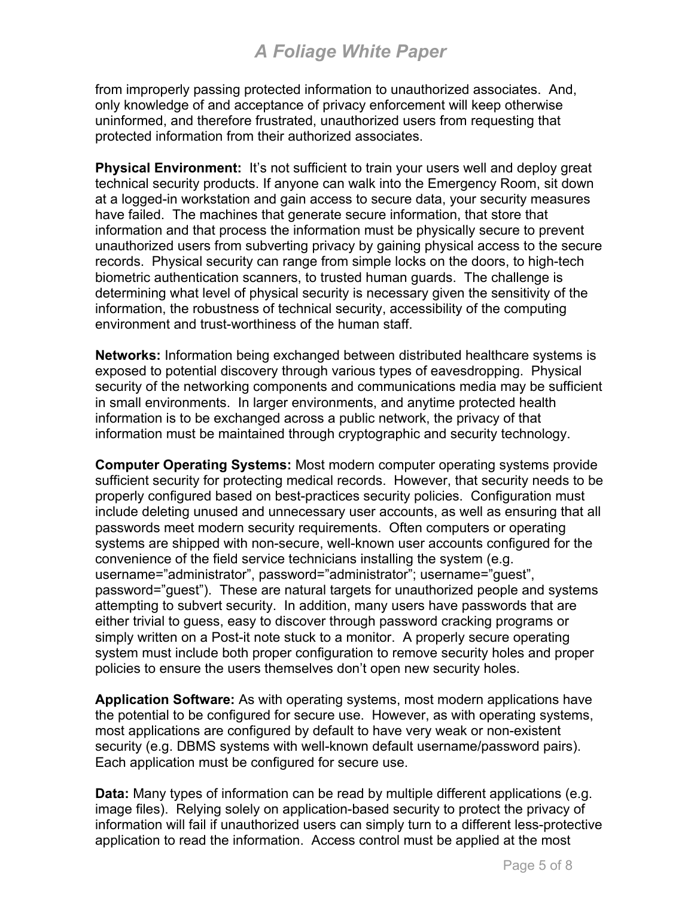from improperly passing protected information to unauthorized associates. And, only knowledge of and acceptance of privacy enforcement will keep otherwise uninformed, and therefore frustrated, unauthorized users from requesting that protected information from their authorized associates.

**Physical Environment:** It's not sufficient to train your users well and deploy great technical security products. If anyone can walk into the Emergency Room, sit down at a logged-in workstation and gain access to secure data, your security measures have failed. The machines that generate secure information, that store that information and that process the information must be physically secure to prevent unauthorized users from subverting privacy by gaining physical access to the secure records. Physical security can range from simple locks on the doors, to high-tech biometric authentication scanners, to trusted human guards. The challenge is determining what level of physical security is necessary given the sensitivity of the information, the robustness of technical security, accessibility of the computing environment and trust-worthiness of the human staff.

**Networks:** Information being exchanged between distributed healthcare systems is exposed to potential discovery through various types of eavesdropping. Physical security of the networking components and communications media may be sufficient in small environments. In larger environments, and anytime protected health information is to be exchanged across a public network, the privacy of that information must be maintained through cryptographic and security technology.

**Computer Operating Systems:** Most modern computer operating systems provide sufficient security for protecting medical records. However, that security needs to be properly configured based on best-practices security policies. Configuration must include deleting unused and unnecessary user accounts, as well as ensuring that all passwords meet modern security requirements. Often computers or operating systems are shipped with non-secure, well-known user accounts configured for the convenience of the field service technicians installing the system (e.g. username="administrator", password="administrator"; username="guest", password="guest"). These are natural targets for unauthorized people and systems attempting to subvert security. In addition, many users have passwords that are either trivial to guess, easy to discover through password cracking programs or simply written on a Post-it note stuck to a monitor. A properly secure operating system must include both proper configuration to remove security holes and proper policies to ensure the users themselves don't open new security holes.

**Application Software:** As with operating systems, most modern applications have the potential to be configured for secure use. However, as with operating systems, most applications are configured by default to have very weak or non-existent security (e.g. DBMS systems with well-known default username/password pairs). Each application must be configured for secure use.

**Data:** Many types of information can be read by multiple different applications (e.g. image files). Relying solely on application-based security to protect the privacy of information will fail if unauthorized users can simply turn to a different less-protective application to read the information. Access control must be applied at the most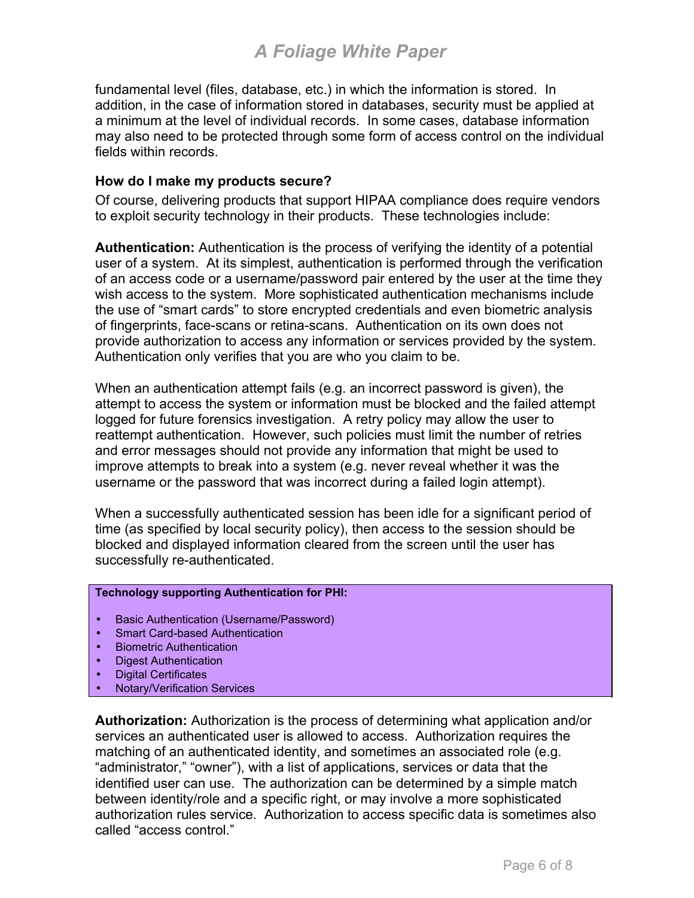fundamental level (files, database, etc.) in which the information is stored. In addition, in the case of information stored in databases, security must be applied at a minimum at the level of individual records. In some cases, database information may also need to be protected through some form of access control on the individual fields within records.

#### **How do I make my products secure?**

Of course, delivering products that support HIPAA compliance does require vendors to exploit security technology in their products. These technologies include:

**Authentication:** Authentication is the process of verifying the identity of a potential user of a system. At its simplest, authentication is performed through the verification of an access code or a username/password pair entered by the user at the time they wish access to the system. More sophisticated authentication mechanisms include the use of "smart cards" to store encrypted credentials and even biometric analysis of fingerprints, face-scans or retina-scans. Authentication on its own does not provide authorization to access any information or services provided by the system. Authentication only verifies that you are who you claim to be.

When an authentication attempt fails (e.g. an incorrect password is given), the attempt to access the system or information must be blocked and the failed attempt logged for future forensics investigation. A retry policy may allow the user to reattempt authentication. However, such policies must limit the number of retries and error messages should not provide any information that might be used to improve attempts to break into a system (e.g. never reveal whether it was the username or the password that was incorrect during a failed login attempt).

When a successfully authenticated session has been idle for a significant period of time (as specified by local security policy), then access to the session should be blocked and displayed information cleared from the screen until the user has successfully re-authenticated.

#### **Technology supporting Authentication for PHI:**

- Basic Authentication (Username/Password)
- Smart Card-based Authentication
- Biometric Authentication
- Digest Authentication
- Digital Certificates
- Notary/Verification Services

**Authorization:** Authorization is the process of determining what application and/or services an authenticated user is allowed to access. Authorization requires the matching of an authenticated identity, and sometimes an associated role (e.g. "administrator," "owner"), with a list of applications, services or data that the identified user can use. The authorization can be determined by a simple match between identity/role and a specific right, or may involve a more sophisticated authorization rules service. Authorization to access specific data is sometimes also called "access control."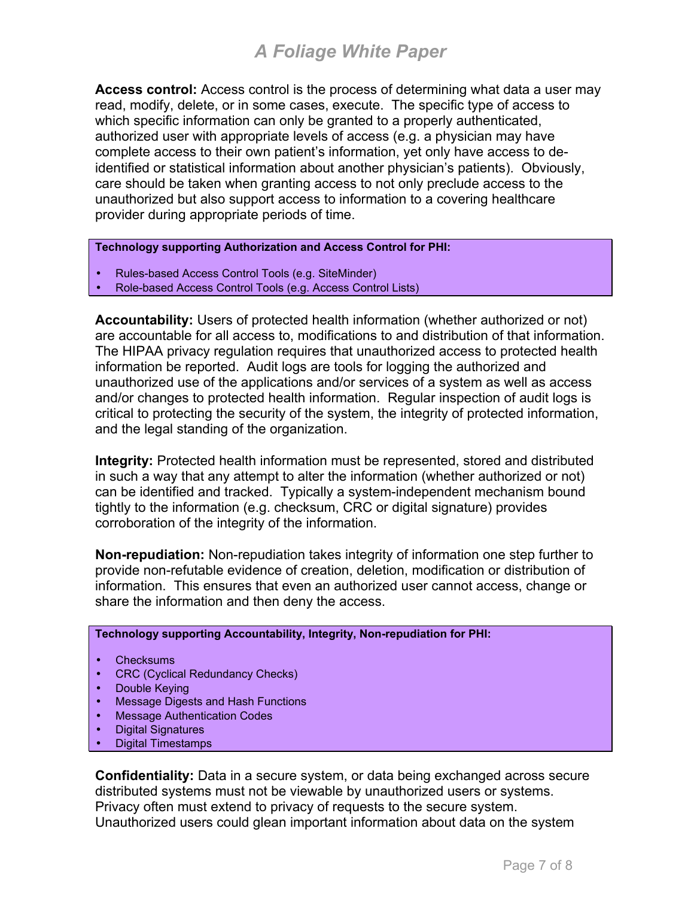**Access control:** Access control is the process of determining what data a user may read, modify, delete, or in some cases, execute. The specific type of access to which specific information can only be granted to a properly authenticated, authorized user with appropriate levels of access (e.g. a physician may have complete access to their own patient's information, yet only have access to deidentified or statistical information about another physician's patients). Obviously, care should be taken when granting access to not only preclude access to the unauthorized but also support access to information to a covering healthcare provider during appropriate periods of time.

**Technology supporting Authorization and Access Control for PHI:** 

- Rules-based Access Control Tools (e.g. SiteMinder)
- Role-based Access Control Tools (e.g. Access Control Lists)

**Accountability:** Users of protected health information (whether authorized or not) are accountable for all access to, modifications to and distribution of that information. The HIPAA privacy regulation requires that unauthorized access to protected health information be reported. Audit logs are tools for logging the authorized and unauthorized use of the applications and/or services of a system as well as access and/or changes to protected health information. Regular inspection of audit logs is critical to protecting the security of the system, the integrity of protected information, and the legal standing of the organization.

**Integrity:** Protected health information must be represented, stored and distributed in such a way that any attempt to alter the information (whether authorized or not) can be identified and tracked. Typically a system-independent mechanism bound tightly to the information (e.g. checksum, CRC or digital signature) provides corroboration of the integrity of the information.

**Non-repudiation:** Non-repudiation takes integrity of information one step further to provide non-refutable evidence of creation, deletion, modification or distribution of information. This ensures that even an authorized user cannot access, change or share the information and then deny the access.

#### **Technology supporting Accountability, Integrity, Non-repudiation for PHI:**

- **Checksums**
- CRC (Cyclical Redundancy Checks)
- Double Keying
- Message Digests and Hash Functions
- Message Authentication Codes
- Digital Signatures
- Digital Timestamps

**Confidentiality:** Data in a secure system, or data being exchanged across secure distributed systems must not be viewable by unauthorized users or systems. Privacy often must extend to privacy of requests to the secure system. Unauthorized users could glean important information about data on the system